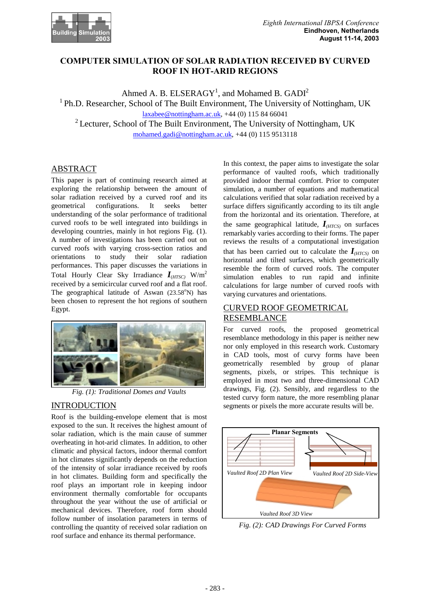

## **COMPUTER SIMULATION OF SOLAR RADIATION RECEIVED BY CURVED ROOF IN HOT-ARID REGIONS**

Ahmed A. B. ELSERAGY<sup>1</sup>, and Mohamed B. GADI<sup>2</sup>

 $<sup>1</sup>$  Ph.D. Researcher, School of The Built Environment, The University of Nottingham, UK</sup>

laxabee@nottingham.ac.uk, +44 (0) 115 84 66041

<sup>2</sup> Lecturer, School of The Built Environment, The University of Nottingham, UK

mohamed.gadi@nottingham.ac.uk, +44 (0) 115 9513118

## ABSTRACT

This paper is part of continuing research aimed at exploring the relationship between the amount of solar radiation received by a curved roof and its geometrical configurations. It seeks better understanding of the solar performance of traditional curved roofs to be well integrated into buildings in developing countries, mainly in hot regions Fig. (1). A number of investigations has been carried out on curved roofs with varying cross-section ratios and orientations to study their solar radiation performances. This paper discusses the variations in Total Hourly Clear Sky Irradiance  $I_{(HTSC)}$  W/m<sup>2</sup> received by a semicircular curved roof and a flat roof. The geographical latitude of Aswan  $(23.58^{\circ}N)$  has been chosen to represent the hot regions of southern Egypt.



*Fig. (1): Traditional Domes and Vaults* 

## INTRODUCTION

Roof is the building-envelope element that is most exposed to the sun. It receives the highest amount of solar radiation, which is the main cause of summer overheating in hot-arid climates. In addition, to other climatic and physical factors, indoor thermal comfort in hot climates significantly depends on the reduction of the intensity of solar irradiance received by roofs in hot climates. Building form and specifically the roof plays an important role in keeping indoor environment thermally comfortable for occupants throughout the year without the use of artificial or mechanical devices. Therefore, roof form should follow number of insolation parameters in terms of controlling the quantity of received solar radiation on roof surface and enhance its thermal performance.

In this context, the paper aims to investigate the solar performance of vaulted roofs, which traditionally provided indoor thermal comfort. Prior to computer simulation, a number of equations and mathematical calculations verified that solar radiation received by a surface differs significantly according to its tilt angle from the horizontal and its orientation. Therefore, at the same geographical latitude,  $I_{HTCS}$  on surfaces remarkably varies according to their forms. The paper reviews the results of a computational investigation that has been carried out to calculate the  $I_{HTCS}$  on horizontal and tilted surfaces, which geometrically resemble the form of curved roofs. The computer simulation enables to run rapid and infinite calculations for large number of curved roofs with varying curvatures and orientations.

# CURVED ROOF GEOMETRICAL RESEMBLANCE

For curved roofs, the proposed geometrical resemblance methodology in this paper is neither new nor only employed in this research work. Customary in CAD tools, most of curvy forms have been geometrically resembled by group of planar segments, pixels, or stripes. This technique is employed in most two and three-dimensional CAD drawings, Fig. (2). Sensibly, and regardless to the tested curvy form nature, the more resembling planar segments or pixels the more accurate results will be.



*Fig. (2): CAD Drawings For Curved Forms*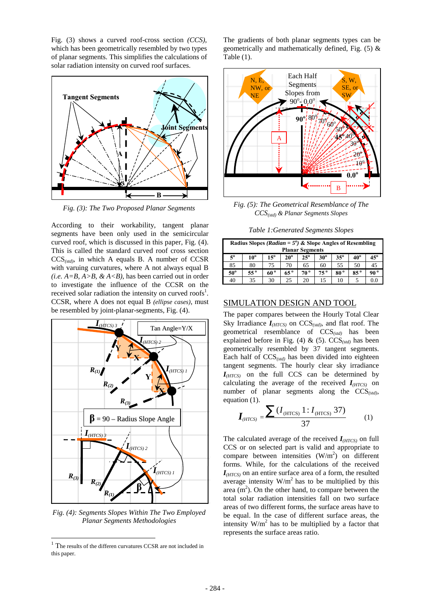Fig. (3) shows a curved roof-cross section *(CCS)*, which has been geometrically resembled by two types of planar segments. This simplifies the calculations of solar radiation intensity on curved roof surfaces.



*Fig. (3): The Two Proposed Planar Segments* 

According to their workability, tangent planar segments have been only used in the semicircular curved roof, which is discussed in this paper, Fig. (4). This is called the standard curved roof cross section CCS*(std)*, in which A equals B. A number of CCSR with varuing curvatures*,* where A not always equal B  $(i.e. A=B, A>B, \& A, has been carried out in order$ to investigate the influence of the CCSR on the received solar radiation the intensity on curved roofs<sup>1</sup>. CCSR, where A does not equal B *(ellipse cases)*, must be resembled by joint-planar-segments, Fig. (4).



*Fig. (4): Segments Slopes Within The Two Employed Planar Segments Methodologies* 

 $\overline{a}$ 

The gradients of both planar segments types can be geometrically and mathematically defined, Fig. (5) & Table (1).



*Fig. (5): The Geometrical Resemblance of The CCS(std) & Planar Segments Slopes* 

*Table 1:Generated Segments Slopes* 

| Radius Slopes (Radian = $5^{\circ}$ ) & Slope Angles of Resembling |              |              |              |              |              |              |              |            |  |  |  |
|--------------------------------------------------------------------|--------------|--------------|--------------|--------------|--------------|--------------|--------------|------------|--|--|--|
| <b>Planar Segments</b>                                             |              |              |              |              |              |              |              |            |  |  |  |
| $5^{\circ}$                                                        | 10°          | $15^{\circ}$ | $20^{\circ}$ | $25^\circ$   | $30^\circ$   | $35^\circ$   | $40^{\circ}$ | $45^\circ$ |  |  |  |
| 85                                                                 | 80           | 75           | 70           | 65           | 60           | 55           | 50           | 45         |  |  |  |
| $50^\circ$                                                         | $55^{\circ}$ | 60 º         | $65^{\circ}$ | $70^{\circ}$ | $75^{\circ}$ | $80^{\circ}$ | $85^{\circ}$ | 90°        |  |  |  |
| 40                                                                 | 35           | 30           | 25           | 20           | 15           | 10           |              | 0.0        |  |  |  |

### SIMULATION DESIGN AND TOOL

The paper compares between the Hourly Total Clear Sky Irradiance *I(HTCS)* on CCS*(std)*, and flat roof. The geometrical resemblance of CCS*(std)* has been explained before in Fig. (4) & (5). CCS*(std)* has been geometrically resembled by 37 tangent segments. Each half of CCS*(std)* has been divided into eighteen tangent segments. The hourly clear sky irradiance *I(HTCS)* on the full CCS can be determined by calculating the average of the received  $I<sub>(HTCS)</sub>$  on number of planar segments along the CCS*(std),*  equation (1).

$$
I_{(HTCS)} = \frac{\sum (I_{(HTCS)} 1 : I_{(HTCS)} 37)}{37}
$$
 (1)

The calculated average of the received  $I<sub>(HTCS)</sub>$  on full CCS or on selected part is valid and appropriate to compare between intensities  $(W/m^2)$  on different forms. While, for the calculations of the received *I(HTCS)* on an entire surface area of a form, the resulted average intensity  $W/m^2$  has to be multiplied by this area  $(m<sup>2</sup>)$ . On the other hand, to compare between the total solar radiation intensities fall on two surface areas of two different forms, the surface areas have to be equal. In the case of different surface areas, the intensity  $W/m^2$  has to be multiplied by a factor that represents the surface areas ratio.

<sup>1</sup> The results of the differen curvatures CCSR are not included in this paper.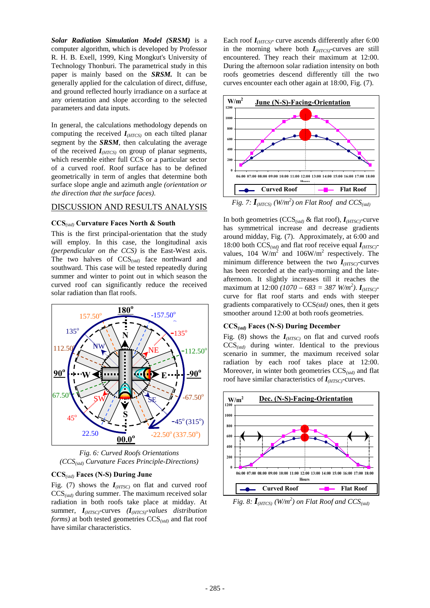*Solar Radiation Simulation Model (SRSM)* is a computer algorithm, which is developed by Professor R. H. B. Exell, 1999, King Mongkut's University of Technology Thonburi. The parametrical study in this paper is mainly based on the *SRSM.* It can be generally applied for the calculation of direct, diffuse, and ground reflected hourly irradiance on a surface at any orientation and slope according to the selected parameters and data inputs.

In general, the calculations methodology depends on computing the received *I(HTCS)* on each tilted planar segment by the *SRSM*, then calculating the average of the received *I(HTCS)* on group of planar segments, which resemble either full CCS or a particular sector of a curved roof. Roof surface has to be defined geometrically in term of angles that determine both surface slope angle and azimuth angle *(orientation or the direction that the surface faces)*.

#### DISCUSSION AND RESULTS ANALYSIS

#### **CCS***(std)* **Curvature Faces North & South**

This is the first principal-orientation that the study will employ. In this case, the longitudinal axis *(perpendicular on the CCS)* is the East-West axis. The two halves of CCS*(std)* face northward and southward. This case will be tested repeatedly during summer and winter to point out in which season the curved roof can significantly reduce the received solar radiation than flat roofs.



*Fig. 6: Curved Roofs Orientations (CCS(std) Curvature Faces Principle-Directions)* 

#### **CCS***(std)* **Faces (N-S) During June**

Fig. (7) shows the  $I<sub>(HTSC)</sub>$  on flat and curved roof CCS*(std)* during summer. The maximum received solar radiation in both roofs take place at midday. At summer, *I(HTSC)*-curves *(I(HTCS)-values distribution forms)* at both tested geometries CCS*(std)* and flat roof have similar characteristics.

Each roof *I(HTCS)-* curve ascends differently after 6:00 in the morning where both *I(HTCS)-*curves are still encountered. They reach their maximum at 12:00. During the afternoon solar radiation intensity on both roofs geometries descend differently till the two curves encounter each other again at 18:00, Fig. (7).



*Fig. 7:*  $I_{(HTCS)}$   $(W/m^2)$  on Flat Roof and  $CCS_{(std)}$ 

In both geometries (CCS*(std)* & flat roof), *I(HTSC)*-curve has symmetrical increase and decrease gradients around midday, Fig. (7). Approximately, at 6:00 and 18:00 both CCS*(std)* and flat roof receive equal *I(HTSC)* values, 104  $\text{W/m}^2$  and 106W/m<sup>2</sup> respectively. The minimum difference between the two  $I_{(HTSC)}$ -curves has been recorded at the early-morning and the lateafternoon. It slightly increases till it reaches the maximum at  $12:00$  ( $1070 - 683 = 387$  W/m<sup>2</sup>).  $I_{(HTSC)}$ curve for flat roof starts and ends with steeper gradients comparatively to CCS*(std)* ones, then it gets smoother around 12:00 at both roofs geometries.

## **CCS***(std)* **Faces (N-S) During December**

Fig. (8) shows the  $I<sub>(HTSC)</sub>$  on flat and curved roofs  $CCS_{(std)}$  during winter. Identical to the previous scenario in summer, the maximum received solar radiation by each roof takes place at 12:00. Moreover, in winter both geometries CCS*(std)* and flat roof have similar characteristics of *I(HTSC)*-curves.



*Fig. 8: I(HTCS) (W/m<sup>2</sup> ) on Flat Roof and CCS(std)*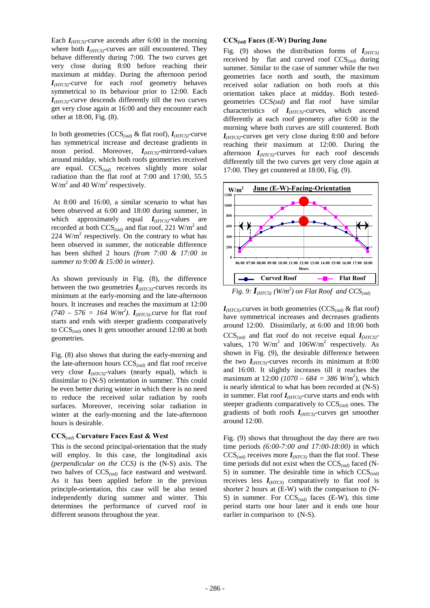Each  $I<sub>(HTCS)</sub>$ -curve ascends after 6:00 in the morning where both *I(HTCS)*-curves are still encountered. They behave differently during 7:00. The two curves get very close during 8:00 before reaching their maximum at midday. During the afternoon period *I(HTCS)-*curve for each roof geometry behaves symmetrical to its behaviour prior to 12:00. Each *I(HTCS)*-curve descends differently till the two curves get very close again at 16:00 and they encounter each other at 18:00, Fig. (8).

In both geometries (CCS*(std)* & flat roof), *I(HTCS)*-curve has symmetrical increase and decrease gradients in noon period. Moreover, *I(HTCS)*-mirrored-values around midday, which both roofs geometries received are equal. CCS*(std)* receives slightly more solar radiation than the flat roof at 7:00 and 17:00, 55.5  $W/m<sup>2</sup>$  and 40  $W/m<sup>2</sup>$  respectively.

 At 8:00 and 16:00, a similar scenario to what has been observed at 6:00 and 18:00 during summer, in which approximately equal *I(HTCS)*-values are recorded at both  $\text{CCS}_{(std)}$  and flat roof, 221 W/m<sup>2</sup> and  $224$  W/m<sup>2</sup> respectively. On the contrary to what has been observed in summer, the noticeable difference has been shifted 2 hours *(from 7:00 & 17:00 in summer to 9:00 & 15:00 in winter)*.

As shown previously in Fig. (8), the difference between the two geometries  $I<sub>(HTCS)</sub>$ -curves records its minimum at the early-morning and the late-afternoon hours. It increases and reaches the maximum at 12:00  $(740 - 576 = 164 \text{ W/m}^2)$ .  $I_{(HTCS)}$ -curve for flat roof starts and ends with steeper gradients comparatively to CCS*(std)* ones It gets smoother around 12:00 at both geometries.

Fig. (8) also shows that during the early-morning and the late-afternoon hours CCS*(std)* and flat roof receive very close  $I<sub>(HTCS)</sub>$ -values (nearly equal), which is dissimilar to (N-S) orientation in summer. This could be even better during winter in which there is no need to reduce the received solar radiation by roofs surfaces. Moreover, receiving solar radiation in winter at the early-morning and the late-afternoon hours is desirable.

#### **CCS***(std)* **Curvature Faces East & West**

This is the second principal-orientation that the study will employ. In this case, the longitudinal axis *(perpendicular on the CCS)* is the (N-S) axis. The two halves of CCS*(std)* face eastward and westward. As it has been applied before in the previous principle-orientation, this case will be also tested independently during summer and winter. This determines the performance of curved roof in different seasons throughout the year.

#### **CCS***(std)* **Faces (E-W) During June**

Fig. (9) shows the distribution forms of  $I<sub>(HTCS)</sub>$ received by flat and curved roof CCS*(std)* during summer. Similar to the case of summer while the two geometries face north and south, the maximum received solar radiation on both roofs at this orientation takes place at midday. Both testedgeometries CCS*(std)* and flat roof have similar characteristics of *I(HTCS)*-curves, which ascend differently at each roof geometry after 6:00 in the morning where both curves are still countered. Both *I(HTCS)*-curves get very close during 8:00 and before reaching their maximum at 12:00. During the afternoon *I(HTCS)*-curves for each roof descends differently till the two curves get very close again at 17:00. They get countered at 18:00, Fig. (9).



*Fig. 9:*  $I_{(HTCS)}$   $(W/m^2)$  on Flat Roof and  $CCS_{(std)}$ 

*I(HTCS)-*curves in both geometries (CCS*(std)* & flat roof) have symmetrical increases and decreases gradients around 12:00. Dissimilarly, at 6:00 and 18:00 both  $CCS_{(std)}$  and flat roof do not receive equal  $I_{(HTCS)}$ values, 170  $W/m^2$  and 106W/m<sup>2</sup> respectively. As shown in Fig. (9), the desirable difference between the two  $I<sub>(HTCS)</sub>$ -curves records its minimum at 8:00 and 16:00. It slightly increases till it reaches the maximum at  $12:00$  (1070 – 684 = 386 W/m<sup>2</sup>), which is nearly identical to what has been recorded at (N-S) in summer. Flat roof *I(HTCS)-*curve starts and ends with steeper gradients comparatively to CCS*(std)* ones. The gradients of both roofs *I(HTCS)-*curves get smoother around 12:00.

Fig. (9) shows that throughout the day there are two time periods *(6:00-7:00 and 17:00-18:00)* in which  $CCS_{(std)}$  receives more  $I_{(HTCS)}$  than the flat roof. These time periods did not exist when the CCS*(std)* faced (N-S) in summer. The desirable time in which CCS*(std)* receives less *I(HTCS)* comparatively to flat roof is shorter 2 hours at (E-W) with the comparison to (N-S) in summer. For CCS*(std)* faces (E-W), this time period starts one hour later and it ends one hour earlier in comparison to (N-S).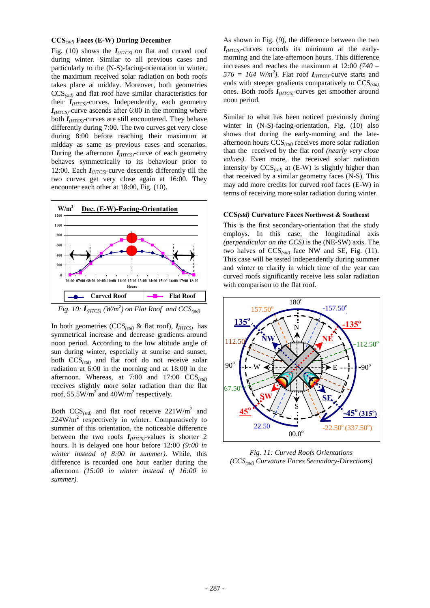#### **CCS***(std)* **Faces (E-W) During December**

Fig. (10) shows the *I(HTCS)* on flat and curved roof during winter. Similar to all previous cases and particularly to the (N-S)-facing-orientation in winter, the maximum received solar radiation on both roofs takes place at midday. Moreover, both geometries CCS*(std)* and flat roof have similar characteristics for their *I(HTCS)-*curves. Independently, each geometry  $I<sub>(HTCS)</sub>$ -curve ascends after 6:00 in the morning where both *I(HTCS)*-curves are still encountered. They behave differently during 7:00. The two curves get very close during 8:00 before reaching their maximum at midday as same as previous cases and scenarios. During the afternoon *I(HTCS)-*curve of each geometry behaves symmetrically to its behaviour prior to 12:00. Each *I(HTCS)*-curve descends differently till the two curves get very close again at 16:00. They encounter each other at 18:00, Fig. (10).



*Fig. 10:*  $I_{(HTCS)}$   $(W/m^2)$  on Flat Roof and  $CCS_{(std)}$ 

In both geometries (CCS*(std)* & flat roof), *I(HTCS)* has symmetrical increase and decrease gradients around noon period. According to the low altitude angle of sun during winter, especially at sunrise and sunset, both CCS*(std)* and flat roof do not receive solar radiation at 6:00 in the morning and at 18:00 in the afternoon. Whereas, at 7:00 and 17:00 CCS*(std)* receives slightly more solar radiation than the flat roof, 55.5W/m<sup>2</sup> and 40W/m<sup>2</sup> respectively.

Both  $CCS_{(std)}$  and flat roof receive 221W/m<sup>2</sup> and  $224W/m^2$  respectively in winter. Comparatively to summer of this orientation, the noticeable difference between the two roofs  $I<sub>(HTCS)</sub>$ -values is shorter 2 hours. It is delayed one hour before 12:00 *(9:00 in winter instead of 8:00 in summer)*. While, this difference is recorded one hour earlier during the afternoon *(15:00 in winter instead of 16:00 in summer).* 

As shown in Fig. (9), the difference between the two *I(HTCS)-*curves records its minimum at the earlymorning and the late-afternoon hours. This difference increases and reaches the maximum at 12:00 *(740 –*   $576 = 164$  *W*/*m*<sup>2</sup>). Flat roof *I*<sub>(*HTCS*)</sub>-curve starts and ends with steeper gradients comparatively to CCS*(std)* ones. Both roofs *I(HTCS)-*curves get smoother around noon period.

Similar to what has been noticed previously during winter in (N-S)-facing-orientation, Fig. (10) also shows that during the early-morning and the lateafternoon hours CCS*(std)* receives more solar radiation than the received by the flat roof *(nearly very close values)*. Even more, the received solar radiation intensity by CCS*(std)* at (E-W) is slightly higher than that received by a similar geometry faces (N-S). This may add more credits for curved roof faces (E-W) in terms of receiving more solar radiation during winter.

#### **CCS***(std)* **Curvature Faces Northwest & Southeast**

This is the first secondary-orientation that the study employs. In this case, the longitudinal axis *(perpendicular on the CCS)* is the (NE-SW) axis. The two halves of  $CCS<sub>(std)</sub>$  face NW and SE, Fig. (11). This case will be tested independently during summer and winter to clarify in which time of the year can curved roofs significantly receive less solar radiation with comparison to the flat roof.



*Fig. 11: Curved Roofs Orientations (CCS(std) Curvature Faces Secondary-Directions)*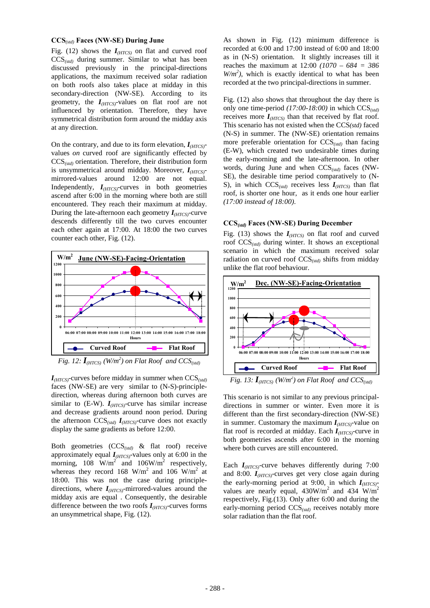#### **CCS***(std)* **Faces (NW-SE) During June**

Fig. (12) shows the  $I<sub>(HTCS)</sub>$  on flat and curved roof CCS*(std)* during summer. Similar to what has been discussed previously in the principal-directions applications, the maximum received solar radiation on both roofs also takes place at midday in this secondary-direction (NW-SE). According to its geometry, the *I(HTCS)*-values on flat roof are not influenced by orientation. Therefore, they have symmetrical distribution form around the midday axis at any direction.

On the contrary, and due to its form elevation, *I(HTCS)* values *on* curved roof are significantly effected by CCS*(std)* orientation. Therefore, their distribution form is unsymmetrical around midday. Moreover, *I(HTCS)* mirrored-values around 12:00 are not equal. Independently,  $I<sub>(HTCS)</sub>$ -curves in both geometries ascend after 6:00 in the morning where both are still encountered. They reach their maximum at midday. During the late-afternoon each geometry  $I_{(HTCS)}$ -curve descends differently till the two curves encounter each other again at 17:00. At 18:00 the two curves counter each other, Fig. (12).



*Fig. 12:*  $I_{\text{(HTCS)}}$  (W/m<sup>2</sup>) on Flat Roof and  $CCS_{\text{(std)}}$ 

*I(HTCS)*-curves before midday in summer when CCS*(std)* faces (NW-SE) are very similar to (N-S)-principledirection, whereas during afternoon both curves are similar to  $(E-W)$ .  $I<sub>(HTCS)</sub>$ -curve has similar increase and decrease gradients around noon period. During the afternoon CCS*(std) I(HTCS)*-curve does not exactly display the same gradients as before 12:00.

Both geometries (CCS*(std)* & flat roof) receive approximately equal *I(HTCS)*-values only at 6:00 in the morning,  $108 \text{ W/m}^2$  and  $106 \text{W/m}^2$  respectively, whereas they record  $168 \text{ W/m}^2$  and  $106 \text{ W/m}^2$  at 18:00. This was not the case during principledirections, where *I(HTCS)*-mirrored-values around the midday axis are equal . Consequently, the desirable difference between the two roofs  $I<sub>(HTCS)</sub>$ -curves forms an unsymmetrical shape, Fig. (12).

As shown in Fig. (12) minimum difference is recorded at 6:00 and 17:00 instead of 6:00 and 18:00 as in (N-S) orientation. It slightly increases till it reaches the maximum at 12:00 *(1070 – 684 = 386*   $W/m<sup>2</sup>$ ), which is exactly identical to what has been recorded at the two principal-directions in summer.

Fig. (12) also shows that throughout the day there is only one time-period *(17:00-18:00)* in which CCS*(std)* receives more  $I<sub>(HTCS)</sub>$  than that received by flat roof. This scenario has not existed when the CCS*(std)* faced (N-S) in summer. The (NW-SE) orientation remains more preferable orientation for CCS*(std)* than facing (E-W), which created two undesirable times during the early-morning and the late-afternoon. In other words, during June and when CCS*(std)* faces (NW-SE), the desirable time period comparatively to (N-S), in which CCS*(std)* receives less *I(HTCS)* than flat roof, is shorter one hour, as it ends one hour earlier *(17:00 instead of 18:00)*.

## **CCS***(std)* **Faces (NW-SE) During December**

Fig. (13) shows the  $I<sub>(HTCS)</sub>$  on flat roof and curved roof CCS*(std)* during winter. It shows an exceptional scenario in which the maximum received solar radiation on curved roof CCS*(std)* shifts from midday unlike the flat roof behaviour.



*Fig. 13:*  $I_{(HTCS)}$   $(W/m^2)$  on Flat Roof and  $CCS_{(std)}$ 

This scenario is not similar to any previous principaldirections in summer or winter. Even more it is different than the first secondary-direction (NW-SE) in summer. Customary the maximum  $I<sub>(HTCS)</sub>$ -value on flat roof is recorded at midday. Each *I(HTCS)*-curve in both geometries ascends after 6:00 in the morning where both curves are still encountered.

Each *I(HTCS)*-curve behaves differently during 7:00 and 8:00. *I(HTCS)*-curves get very close again during the early-morning period at 9:00, in which  $I<sub>(HTCS)</sub>$ values are nearly equal,  $430W/m^2$  and  $434W/m^2$ respectively, Fig.(13). Only after 6:00 and during the early-morning period CCS*(std)* receives notably more solar radiation than the flat roof.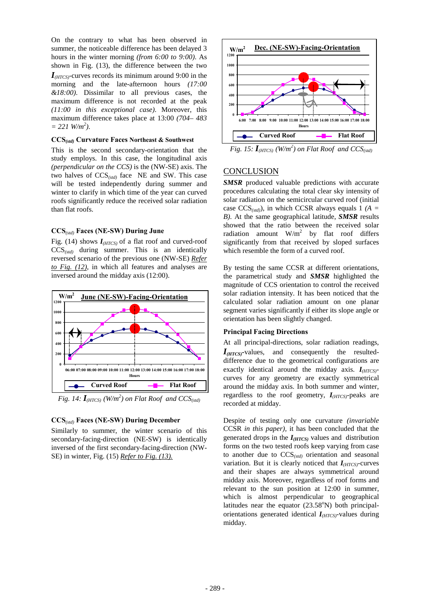On the contrary to what has been observed in summer, the noticeable difference has been delayed 3 hours in the winter morning *(from 6:00 to 9:00)*. As shown in Fig. (13), the difference between the two *I(HTCS)*-curves records its minimum around 9:00 in the morning and the late-afternoon hours *(17:00 &18:00)*. Dissimilar to all previous cases, the maximum difference is not recorded at the peak *(11:00 in this exceptional case)*. Moreover, this maximum difference takes place at 13:00 *(704– 483*   $= 221$  *W/m*<sup>2</sup>).

#### **CCS***(std)* **Curvature Faces Northeast & Southwest**

This is the second secondary-orientation that the study employs. In this case, the longitudinal axis *(perpendicular on the CCS)* is the (NW-SE) axis. The two halves of CCS*(std)* face NE and SW. This case will be tested independently during summer and winter to clarify in which time of the year can curved roofs significantly reduce the received solar radiation than flat roofs.

### **CCS***(std)* **Faces (NE-SW) During June**

Fig. (14) shows *I(HTCS)* of a flat roof and curved-roof CCS*(std)* during summer. This is an identically reversed scenario of the previous one (NW-SE) *Refer to Fig. (12)*, in which all features and analyses are inversed around the midday axis (12:00).



*Fig. 14:*  $I_{(HTCS)}$  (*W*/ $m^2$ ) on Flat Roof and CCS<sub>(std)</sub>

### **CCS***(std)* **Faces (NE-SW) During December**

Similarly to summer, the winter scenario of this secondary-facing-direction (NE-SW) is identically inversed of the first secondary-facing-direction (NW-SE) in winter, Fig. (15) *Refer to Fig. (13).*



*Fig. 15:*  $I_{(HTCS)}$   $(W/m^2)$  on Flat Roof and  $CCS_{(std)}$ 

## **CONCLUSION**

**SMSR** produced valuable predictions with accurate procedures calculating the total clear sky intensity of solar radiation on the semicircular curved roof (initial case CCS*(std)*), in which CCSR always equals 1 *(A = B)*. At the same geographical latitude, *SMSR* results showed that the ratio between the received solar radiation amount  $W/m^2$  by flat roof differs significantly from that received by sloped surfaces which resemble the form of a curved roof.

By testing the same CCSR at different orientations, the parametrical study and *SMSR* highlighted the magnitude of CCS orientation to control the received solar radiation intensity. It has been noticed that the calculated solar radiation amount on one planar segment varies significantly if either its slope angle or orientation has been slightly changed.

#### **Principal Facing Directions**

At all principal-directions, solar radiation readings, *I(HTCS)-*values, and consequently the resulteddifference due to the geometrical configurations are exactly identical around the midday axis. *I(HTCS)* curves for any geometry are exactly symmetrical around the midday axis. In both summer and winter, regardless to the roof geometry, *I(HTCS)-*peaks are recorded at midday.

Despite of testing only one curvature *(invariable* CCSR *in this paper),* it has been concluded that the generated drops in the  $I<sub>(HTCS)</sub>$  values and distribution forms on the two tested roofs keep varying from case to another due to CCS*(std)* orientation and seasonal variation. But it is clearly noticed that *I(HTCS)-*curves and their shapes are always symmetrical around midday axis. Moreover, regardless of roof forms and relevant to the sun position at 12:00 in summer, which is almost perpendicular to geographical latitudes near the equator  $(23.58^{\circ}N)$  both principalorientations generated identical *I(HTCS)-*values during midday.